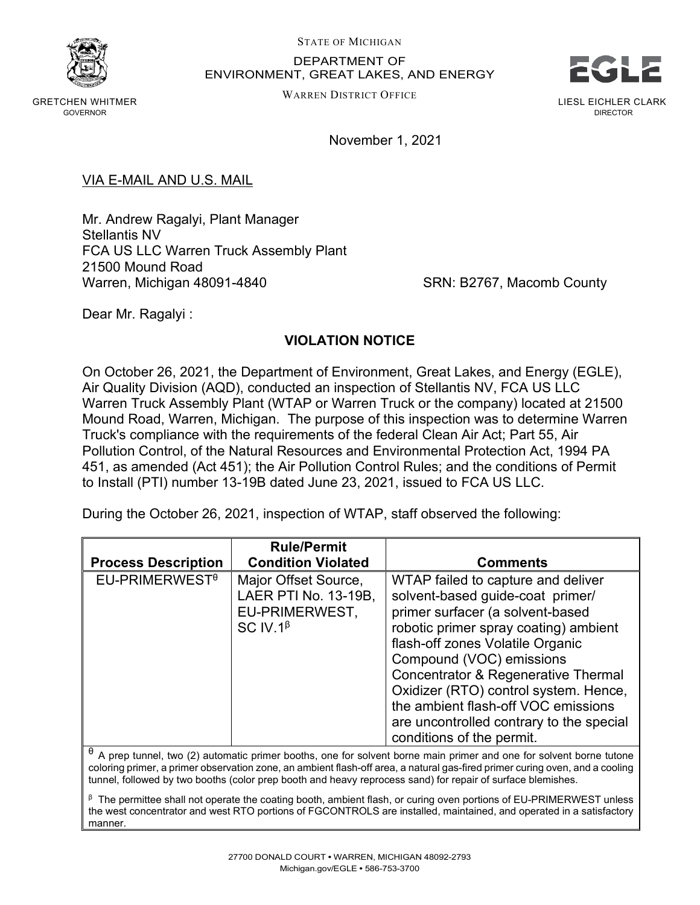

GRETCHEN WHITMER GOVERNOR

## STATE OF MICHIGAN DEPARTMENT OF ENVIRONMENT, GREAT LAKES, AND ENERGY

WARREN DISTRICT OFFICE



LIESL EICHLER CLARK DIRECTOR

November 1, 2021

VIA E-MAIL AND U.S. MAIL

Mr. Andrew Ragalyi, Plant Manager Stellantis NV FCA US LLC Warren Truck Assembly Plant 21500 Mound Road Warren, Michigan 48091-4840 SRN: B2767, Macomb County

Dear Mr. Ragalyi :

## **VIOLATION NOTICE**

On October 26, 2021, the Department of Environment, Great Lakes, and Energy (EGLE), Air Quality Division (AQD), conducted an inspection of Stellantis NV, FCA US LLC Warren Truck Assembly Plant (WTAP or Warren Truck or the company) located at 21500 Mound Road, Warren, Michigan. The purpose of this inspection was to determine Warren Truck's compliance with the requirements of the federal Clean Air Act; Part 55, Air Pollution Control, of the Natural Resources and Environmental Protection Act, 1994 PA 451, as amended (Act 451); the Air Pollution Control Rules; and the conditions of Permit to Install (PTI) number 13-19B dated June 23, 2021, issued to FCA US LLC.

During the October 26, 2021, inspection of WTAP, staff observed the following:

| <b>Process Description</b>                                                                                         | <b>Rule/Permit</b><br><b>Condition Violated</b>                                   | <b>Comments</b>                                                                                                                                                                                                                                                                                                                                                                                                                |
|--------------------------------------------------------------------------------------------------------------------|-----------------------------------------------------------------------------------|--------------------------------------------------------------------------------------------------------------------------------------------------------------------------------------------------------------------------------------------------------------------------------------------------------------------------------------------------------------------------------------------------------------------------------|
| $EU-PRIMERWESTθ$                                                                                                   | Major Offset Source,<br>LAER PTI No. 13-19B,<br>EU-PRIMERWEST,<br>SC IV.1 $\beta$ | WTAP failed to capture and deliver<br>solvent-based guide-coat primer/<br>primer surfacer (a solvent-based<br>robotic primer spray coating) ambient<br>flash-off zones Volatile Organic<br>Compound (VOC) emissions<br><b>Concentrator &amp; Regenerative Thermal</b><br>Oxidizer (RTO) control system. Hence,<br>the ambient flash-off VOC emissions<br>are uncontrolled contrary to the special<br>conditions of the permit. |
| A prep tunnel, two (2) automatic primer booths, one for solvent borne main primer and one for solvent borne tutone |                                                                                   |                                                                                                                                                                                                                                                                                                                                                                                                                                |

coloring primer, a primer observation zone, an ambient flash-off area, a natural gas-fired primer curing oven, and a cooling tunnel, followed by two booths (color prep booth and heavy reprocess sand) for repair of surface blemishes.

 $β$  The permittee shall not operate the coating booth, ambient flash, or curing oven portions of EU-PRIMERWEST unless the west concentrator and west RTO portions of FGCONTROLS are installed, maintained, and operated in a satisfactory manner.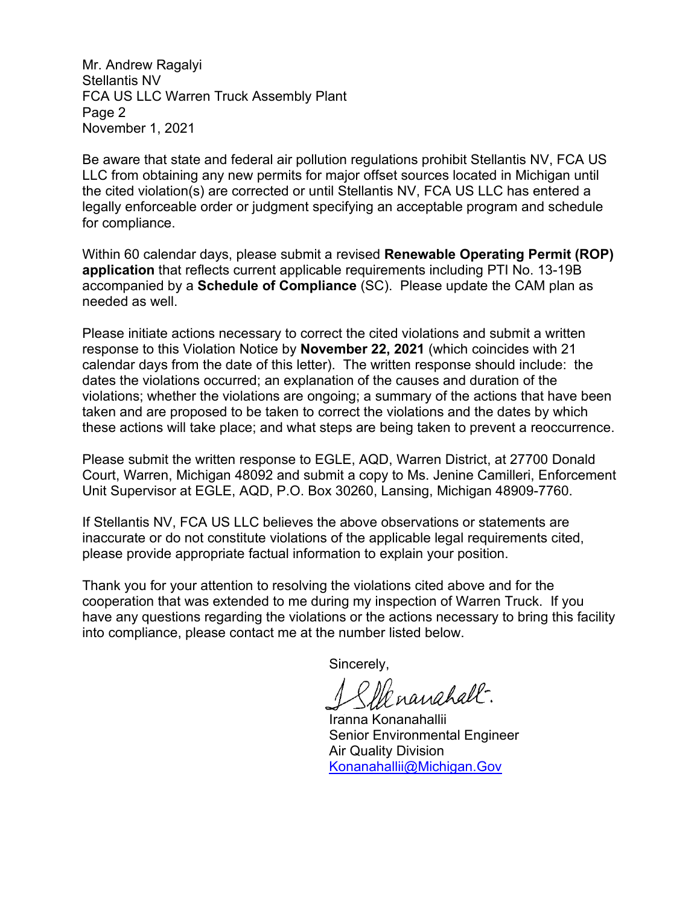Mr. Andrew Ragalyi Stellantis NV FCA US LLC Warren Truck Assembly Plant Page 2 November 1, 2021

Be aware that state and federal air pollution regulations prohibit Stellantis NV, FCA US LLC from obtaining any new permits for major offset sources located in Michigan until the cited violation(s) are corrected or until Stellantis NV, FCA US LLC has entered a legally enforceable order or judgment specifying an acceptable program and schedule for compliance.

Within 60 calendar days, please submit a revised **Renewable Operating Permit (ROP) application** that reflects current applicable requirements including PTI No. 13-19B accompanied by a **Schedule of Compliance** (SC). Please update the CAM plan as needed as well.

Please initiate actions necessary to correct the cited violations and submit a written response to this Violation Notice by **November 22, 2021** (which coincides with 21 calendar days from the date of this letter). The written response should include: the dates the violations occurred; an explanation of the causes and duration of the violations; whether the violations are ongoing; a summary of the actions that have been taken and are proposed to be taken to correct the violations and the dates by which these actions will take place; and what steps are being taken to prevent a reoccurrence.

Please submit the written response to EGLE, AQD, Warren District, at 27700 Donald Court, Warren, Michigan 48092 and submit a copy to Ms. Jenine Camilleri, Enforcement Unit Supervisor at EGLE, AQD, P.O. Box 30260, Lansing, Michigan 48909-7760.

If Stellantis NV, FCA US LLC believes the above observations or statements are inaccurate or do not constitute violations of the applicable legal requirements cited, please provide appropriate factual information to explain your position.

Thank you for your attention to resolving the violations cited above and for the cooperation that was extended to me during my inspection of Warren Truck. If you have any questions regarding the violations or the actions necessary to bring this facility into compliance, please contact me at the number listed below.

Sincerely,

Menanahall-

Iranna Konanahallii Senior Environmental Engineer Air Quality Division [Konanahallii@Michigan.Gov](mailto:Konanahallii@Michigan.Gov)